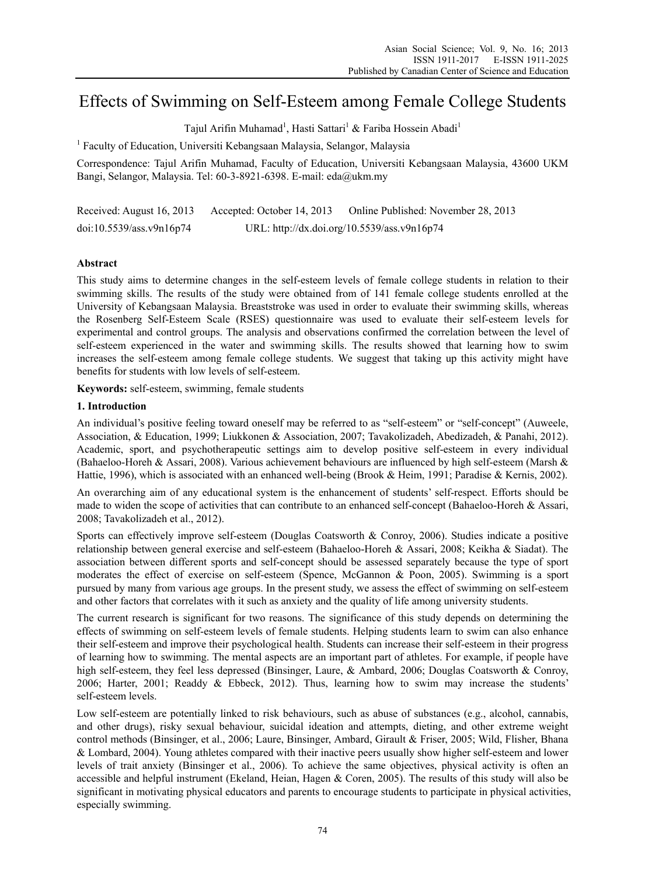# Effects of Swimming on Self-Esteem among Female College Students

Tajul Arifin Muhamad<sup>1</sup>, Hasti Sattari<sup>1</sup> & Fariba Hossein Abadi<sup>1</sup>

<sup>1</sup> Faculty of Education, Universiti Kebangsaan Malaysia, Selangor, Malaysia

Correspondence: Tajul Arifin Muhamad, Faculty of Education, Universiti Kebangsaan Malaysia, 43600 UKM Bangi, Selangor, Malaysia. Tel: 60-3-8921-6398. E-mail: eda@ukm.my

Received: August 16, 2013 Accepted: October 14, 2013 Online Published: November 28, 2013 doi:10.5539/ass.v9n16p74 URL: http://dx.doi.org/10.5539/ass.v9n16p74

# **Abstract**

This study aims to determine changes in the self-esteem levels of female college students in relation to their swimming skills. The results of the study were obtained from of 141 female college students enrolled at the University of Kebangsaan Malaysia. Breaststroke was used in order to evaluate their swimming skills, whereas the Rosenberg Self-Esteem Scale (RSES) questionnaire was used to evaluate their self-esteem levels for experimental and control groups. The analysis and observations confirmed the correlation between the level of self-esteem experienced in the water and swimming skills. The results showed that learning how to swim increases the self-esteem among female college students. We suggest that taking up this activity might have benefits for students with low levels of self-esteem.

**Keywords:** self-esteem, swimming, female students

## **1. Introduction**

An individual's positive feeling toward oneself may be referred to as "self-esteem" or "self-concept" (Auweele, Association, & Education, 1999; Liukkonen & Association, 2007; Tavakolizadeh, Abedizadeh, & Panahi, 2012). Academic, sport, and psychotherapeutic settings aim to develop positive self-esteem in every individual (Bahaeloo-Horeh & Assari, 2008). Various achievement behaviours are influenced by high self-esteem (Marsh & Hattie, 1996), which is associated with an enhanced well-being (Brook & Heim, 1991; Paradise & Kernis, 2002).

An overarching aim of any educational system is the enhancement of students' self-respect. Efforts should be made to widen the scope of activities that can contribute to an enhanced self-concept (Bahaeloo-Horeh & Assari, 2008; Tavakolizadeh et al., 2012).

Sports can effectively improve self-esteem (Douglas Coatsworth & Conroy, 2006). Studies indicate a positive relationship between general exercise and self-esteem (Bahaeloo-Horeh & Assari, 2008; Keikha & Siadat). The association between different sports and self-concept should be assessed separately because the type of sport moderates the effect of exercise on self-esteem (Spence, McGannon & Poon, 2005). Swimming is a sport pursued by many from various age groups. In the present study, we assess the effect of swimming on self-esteem and other factors that correlates with it such as anxiety and the quality of life among university students.

The current research is significant for two reasons. The significance of this study depends on determining the effects of swimming on self-esteem levels of female students. Helping students learn to swim can also enhance their self-esteem and improve their psychological health. Students can increase their self-esteem in their progress of learning how to swimming. The mental aspects are an important part of athletes. For example, if people have high self-esteem, they feel less depressed (Binsinger, Laure, & Ambard, 2006; Douglas Coatsworth & Conroy, 2006; Harter, 2001; Readdy & Ebbeck, 2012). Thus, learning how to swim may increase the students' self-esteem levels.

Low self-esteem are potentially linked to risk behaviours, such as abuse of substances (e.g., alcohol, cannabis, and other drugs), risky sexual behaviour, suicidal ideation and attempts, dieting, and other extreme weight control methods (Binsinger, et al., 2006; Laure, Binsinger, Ambard, Girault & Friser, 2005; Wild, Flisher, Bhana & Lombard, 2004). Young athletes compared with their inactive peers usually show higher self-esteem and lower levels of trait anxiety (Binsinger et al., 2006). To achieve the same objectives, physical activity is often an accessible and helpful instrument (Ekeland, Heian, Hagen & Coren, 2005). The results of this study will also be significant in motivating physical educators and parents to encourage students to participate in physical activities, especially swimming.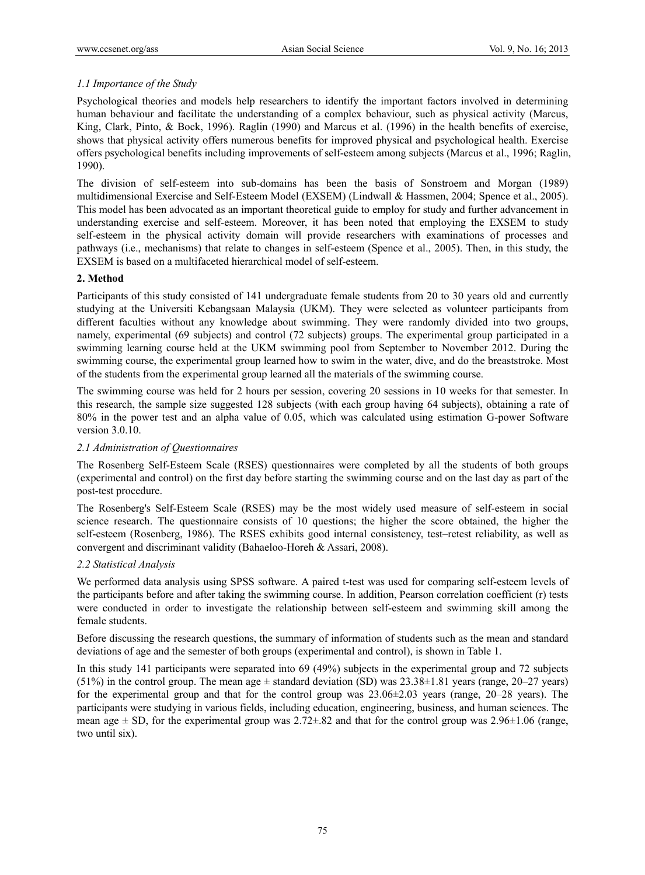# *1.1 Importance of the Study*

Psychological theories and models help researchers to identify the important factors involved in determining human behaviour and facilitate the understanding of a complex behaviour, such as physical activity (Marcus, King, Clark, Pinto, & Bock, 1996). Raglin (1990) and Marcus et al. (1996) in the health benefits of exercise, shows that physical activity offers numerous benefits for improved physical and psychological health. Exercise offers psychological benefits including improvements of self-esteem among subjects (Marcus et al., 1996; Raglin, 1990).

The division of self-esteem into sub-domains has been the basis of Sonstroem and Morgan (1989) multidimensional Exercise and Self-Esteem Model (EXSEM) (Lindwall & Hassmen, 2004; Spence et al., 2005). This model has been advocated as an important theoretical guide to employ for study and further advancement in understanding exercise and self-esteem. Moreover, it has been noted that employing the EXSEM to study self-esteem in the physical activity domain will provide researchers with examinations of processes and pathways (i.e., mechanisms) that relate to changes in self-esteem (Spence et al., 2005). Then, in this study, the EXSEM is based on a multifaceted hierarchical model of self-esteem.

# **2. Method**

Participants of this study consisted of 141 undergraduate female students from 20 to 30 years old and currently studying at the Universiti Kebangsaan Malaysia (UKM). They were selected as volunteer participants from different faculties without any knowledge about swimming. They were randomly divided into two groups, namely, experimental (69 subjects) and control (72 subjects) groups. The experimental group participated in a swimming learning course held at the UKM swimming pool from September to November 2012. During the swimming course, the experimental group learned how to swim in the water, dive, and do the breaststroke. Most of the students from the experimental group learned all the materials of the swimming course.

The swimming course was held for 2 hours per session, covering 20 sessions in 10 weeks for that semester. In this research, the sample size suggested 128 subjects (with each group having 64 subjects), obtaining a rate of 80% in the power test and an alpha value of 0.05, which was calculated using estimation G-power Software version 3.0.10.

# *2.1 Administration of Questionnaires*

The Rosenberg Self-Esteem Scale (RSES) questionnaires were completed by all the students of both groups (experimental and control) on the first day before starting the swimming course and on the last day as part of the post-test procedure.

The Rosenberg's Self-Esteem Scale (RSES) may be the most widely used measure of self-esteem in social science research. The questionnaire consists of 10 questions; the higher the score obtained, the higher the self-esteem (Rosenberg, 1986). The RSES exhibits good internal consistency, test–retest reliability, as well as convergent and discriminant validity (Bahaeloo-Horeh & Assari, 2008).

# *2.2 Statistical Analysis*

We performed data analysis using SPSS software. A paired t-test was used for comparing self-esteem levels of the participants before and after taking the swimming course. In addition, Pearson correlation coefficient (r) tests were conducted in order to investigate the relationship between self-esteem and swimming skill among the female students.

Before discussing the research questions, the summary of information of students such as the mean and standard deviations of age and the semester of both groups (experimental and control), is shown in Table 1.

In this study 141 participants were separated into 69 (49%) subjects in the experimental group and 72 subjects (51%) in the control group. The mean age  $\pm$  standard deviation (SD) was 23.38 $\pm$ 1.81 years (range, 20–27 years) for the experimental group and that for the control group was  $23.06\pm2.03$  years (range,  $20-28$  years). The participants were studying in various fields, including education, engineering, business, and human sciences. The mean age  $\pm$  SD, for the experimental group was 2.72 $\pm$ .82 and that for the control group was 2.96 $\pm$ 1.06 (range, two until six).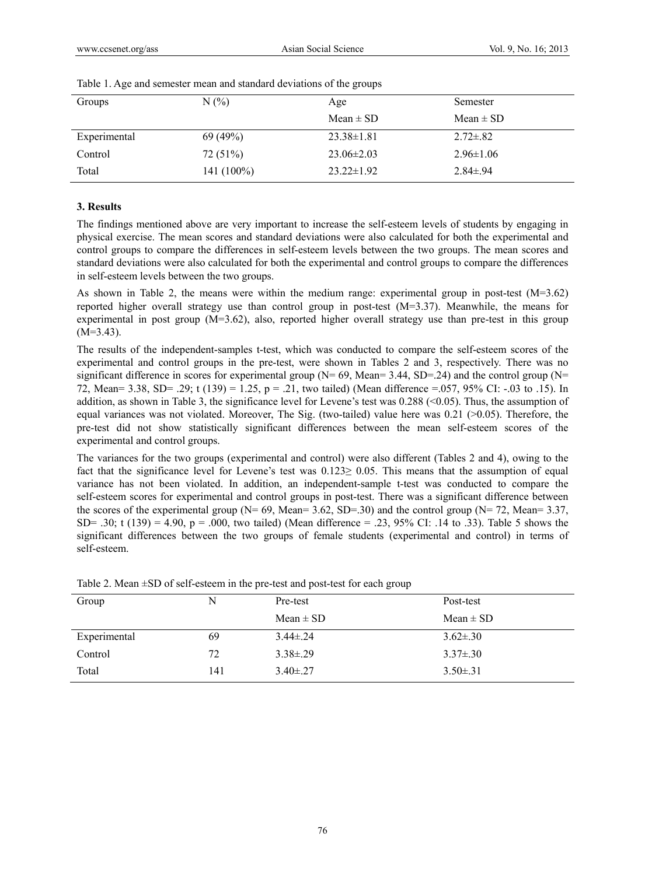| Groups       | N(%           | Age              | Semester        |
|--------------|---------------|------------------|-----------------|
|              |               | $Mean \pm SD$    | $Mean \pm SD$   |
| Experimental | 69(49%)       | $23.38 \pm 1.81$ | $2.72 \pm .82$  |
| Control      | 72 (51%)      | $23.06 \pm 2.03$ | $2.96 \pm 1.06$ |
| Total        | 141 $(100\%)$ | $23.22 \pm 1.92$ | $2.84 \pm .94$  |

| Table 1. Age and semester mean and standard deviations of the groups |  |  |  |
|----------------------------------------------------------------------|--|--|--|
|                                                                      |  |  |  |

## **3. Results**

The findings mentioned above are very important to increase the self-esteem levels of students by engaging in physical exercise. The mean scores and standard deviations were also calculated for both the experimental and control groups to compare the differences in self-esteem levels between the two groups. The mean scores and standard deviations were also calculated for both the experimental and control groups to compare the differences in self-esteem levels between the two groups.

As shown in Table 2, the means were within the medium range: experimental group in post-test (M=3.62) reported higher overall strategy use than control group in post-test (M=3.37). Meanwhile, the means for experimental in post group  $(M=3.62)$ , also, reported higher overall strategy use than pre-test in this group  $(M=3.43)$ .

The results of the independent-samples t-test, which was conducted to compare the self-esteem scores of the experimental and control groups in the pre-test, were shown in Tables 2 and 3, respectively. There was no significant difference in scores for experimental group ( $N= 69$ , Mean= 3.44, SD=.24) and the control group ( $N=$ 72, Mean= 3.38, SD= .29; t (139) = 1.25, p = .21, two tailed) (Mean difference =.057, 95% CI: -.03 to .15). In addition, as shown in Table 3, the significance level for Levene's test was 0.288 (<0.05). Thus, the assumption of equal variances was not violated. Moreover, The Sig. (two-tailed) value here was  $0.21$  ( $>0.05$ ). Therefore, the pre-test did not show statistically significant differences between the mean self-esteem scores of the experimental and control groups.

The variances for the two groups (experimental and control) were also different (Tables 2 and 4), owing to the fact that the significance level for Levene's test was  $0.123 \ge 0.05$ . This means that the assumption of equal variance has not been violated. In addition, an independent-sample t-test was conducted to compare the self-esteem scores for experimental and control groups in post-test. There was a significant difference between the scores of the experimental group ( $N = 69$ , Mean= 3.62, SD=.30) and the control group ( $N = 72$ , Mean= 3.37, SD= .30; t (139) = 4.90, p = .000, two tailed) (Mean difference = .23, 95% CI: .14 to .33). Table 5 shows the significant differences between the two groups of female students (experimental and control) in terms of self-esteem.

| Group        | Ν   | Pre-test       | Post-test      |
|--------------|-----|----------------|----------------|
|              |     | $Mean \pm SD$  | $Mean \pm SD$  |
| Experimental | 69  | $3.44 \pm .24$ | $3.62 \pm .30$ |
| Control      | 72  | $3.38 \pm .29$ | $3.37\pm.30$   |
| Total        | 141 | $3.40 \pm .27$ | $3.50 \pm .31$ |

Table 2. Mean ±SD of self-esteem in the pre-test and post-test for each group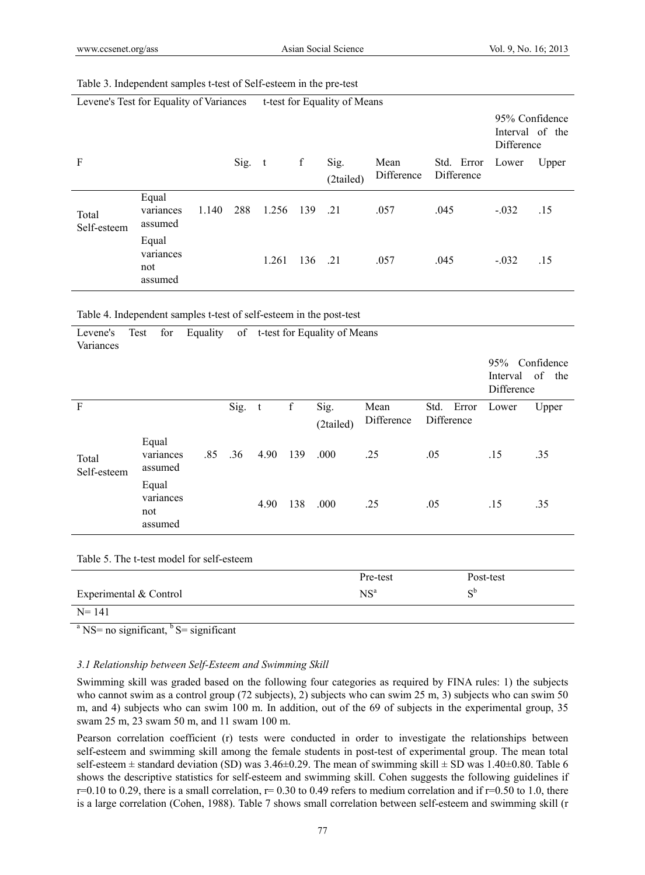| Levene's Test for Equality of Variances |                                      |       | t-test for Equality of Means |       |     |           |            |            |                                                 |       |
|-----------------------------------------|--------------------------------------|-------|------------------------------|-------|-----|-----------|------------|------------|-------------------------------------------------|-------|
|                                         |                                      |       |                              |       |     |           |            |            | 95% Confidence<br>Interval of the<br>Difference |       |
| F                                       |                                      |       | Sig.                         | $-t$  | f   | Sig.      | Mean       | Std. Error | Lower                                           | Upper |
|                                         |                                      |       |                              |       |     | (2tailed) | Difference | Difference |                                                 |       |
| Total<br>Self-esteem                    | Equal<br>variances<br>assumed        | 1.140 | 288                          | 1.256 | 139 | .21       | .057       | .045       | $-.032$                                         | .15   |
|                                         | Equal<br>variances<br>not<br>assumed |       |                              | 1.261 | 136 | .21       | .057       | .045       | $-.032$                                         | .15   |

#### Table 3. Independent samples t-test of Self-esteem in the pre-test

Table 4. Independent samples t-test of self-esteem in the post-test

| Levene's<br>Variances                     | for<br>Test                          | Equality |      |      |             | of t-test for Equality of Means |                 |               |                               |                         |
|-------------------------------------------|--------------------------------------|----------|------|------|-------------|---------------------------------|-----------------|---------------|-------------------------------|-------------------------|
|                                           |                                      |          |      |      |             |                                 |                 |               | 95%<br>Interval<br>Difference | Confidence<br>of<br>the |
| $\mathbf{F}$                              |                                      |          | Sig. | $-t$ | $\mathbf f$ | Sig.                            | Mean            | Error<br>Std. | Lower                         | Upper                   |
|                                           |                                      |          |      |      |             | (2tailed)                       | Difference      | Difference    |                               |                         |
| Total<br>Self-esteem                      | Equal<br>variances<br>assumed        | .85      | .36  | 4.90 | 139         | .000                            | .25             | .05           | .15                           | .35                     |
|                                           | Equal<br>variances<br>not<br>assumed |          |      | 4.90 | 138         | .000                            | .25             | .05           | .15                           | .35                     |
| Table 5. The t-test model for self-esteem |                                      |          |      |      |             |                                 |                 |               |                               |                         |
|                                           |                                      |          |      |      |             |                                 | Pre-test        |               | Post-test                     |                         |
| Experimental & Control                    |                                      |          |      |      |             |                                 | NS <sup>a</sup> | $S^b$         |                               |                         |
| $N = 141$                                 |                                      |          |      |      |             |                                 |                 |               |                               |                         |

 $\alpha$ <sup>a</sup> NS= no significant,  $\beta$ S= significant

## *3.1 Relationship between Self-Esteem and Swimming Skill*

Swimming skill was graded based on the following four categories as required by FINA rules: 1) the subjects who cannot swim as a control group (72 subjects), 2) subjects who can swim 25 m, 3) subjects who can swim 50 m, and 4) subjects who can swim 100 m. In addition, out of the 69 of subjects in the experimental group, 35 swam 25 m, 23 swam 50 m, and 11 swam 100 m.

Pearson correlation coefficient (r) tests were conducted in order to investigate the relationships between self-esteem and swimming skill among the female students in post-test of experimental group. The mean total self-esteem  $\pm$  standard deviation (SD) was 3.46 $\pm$ 0.29. The mean of swimming skill  $\pm$  SD was 1.40 $\pm$ 0.80. Table 6 shows the descriptive statistics for self-esteem and swimming skill. Cohen suggests the following guidelines if  $r=0.10$  to 0.29, there is a small correlation,  $r= 0.30$  to 0.49 refers to medium correlation and if  $r=0.50$  to 1.0, there is a large correlation (Cohen, 1988). Table 7 shows small correlation between self-esteem and swimming skill (r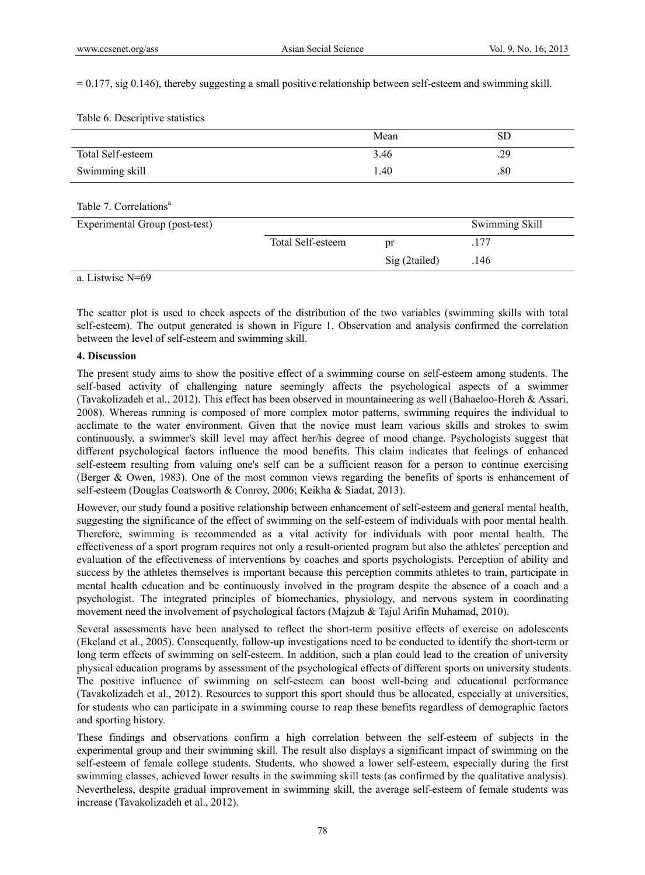$= 0.177$ , sig 0.146), thereby suggesting a small positive relationship between self-esteem and swimming skill.

|                                    |                   | Mean          | <b>SD</b>      |
|------------------------------------|-------------------|---------------|----------------|
| Total Self-esteem                  |                   | 3.46          | .29            |
| Swimming skill                     |                   | 1.40          | .80            |
|                                    |                   |               |                |
| Table 7. Correlations <sup>a</sup> |                   |               |                |
| Experimental Group (post-test)     |                   |               | Swimming Skill |
|                                    | Total Self-esteem | pr            | .177           |
|                                    |                   | Sig (2tailed) | .146           |
| a. Listwise N=69                   |                   |               |                |

The scatter plot is used to check aspects of the distribution of the two variables (swimming skills with total self-esteem). The output generated is shown in Figure 1. Observation and analysis confirmed the correlation between the level of self-esteem and swimming skill.

## **4. Discussion**

The present study aims to show the positive effect of a swimming course on self-esteem among students. The self-based activity of challenging nature seemingly affects the psychological aspects of a swimmer (Tavakolizadeh et al., 2012). This effect has been observed in mountaineering as well (Bahaeloo-Horeh & Assari, 2008). Whereas running is composed of more complex motor patterns, swimming requires the individual to acclimate to the water environment. Given that the novice must learn various skills and strokes to swim continuously, a swimmer's skill level may affect her/his degree of mood change. Psychologists suggest that different psychological factors influence the mood benefits. This claim indicates that feelings of enhanced self-esteem resulting from valuing one's self can be a sufficient reason for a person to continue exercising (Berger & Owen, 1983). One of the most common views regarding the benefits of sports is enhancement of self-esteem (Douglas Coatsworth & Conroy, 2006; Keikha & Siadat, 2013).

However, our study found a positive relationship between enhancement of self-esteem and general mental health, suggesting the significance of the effect of swimming on the self-esteem of individuals with poor mental health. Therefore, swimming is recommended as a vital activity for individuals with poor mental health. The effectiveness of a sport program requires not only a result-oriented program but also the athletes' perception and evaluation of the effectiveness of interventions by coaches and sports psychologists. Perception of ability and success by the athletes themselves is important because this perception commits athletes to train, participate in mental health education and be continuously involved in the program despite the absence of a coach and a psychologist. The integrated principles of biomechanics, physiology, and nervous system in coordinating movement need the involvement of psychological factors (Majzub & Tajul Arifin Muhamad, 2010).

Several assessments have been analysed to reflect the short-term positive effects of exercise on adolescents (Ekeland et al., 2005). Consequently, follow-up investigations need to be conducted to identify the short-term or long term effects of swimming on self-esteem. In addition, such a plan could lead to the creation of university physical education programs by assessment of the psychological effects of different sports on university students. The positive influence of swimming on self-esteem can boost well-being and educational performance (Tavakolizadeh et al., 2012). Resources to support this sport should thus be allocated, especially at universities, for students who can participate in a swimming course to reap these benefits regardless of demographic factors and sporting history.

These findings and observations confirm a high correlation between the self-esteem of subjects in the experimental group and their swimming skill. The result also displays a significant impact of swimming on the self-esteem of female college students. Students, who showed a lower self-esteem, especially during the first swimming classes, achieved lower results in the swimming skill tests (as confirmed by the qualitative analysis). Nevertheless, despite gradual improvement in swimming skill, the average self-esteem of female students was increase (Tavakolizadeh et al., 2012).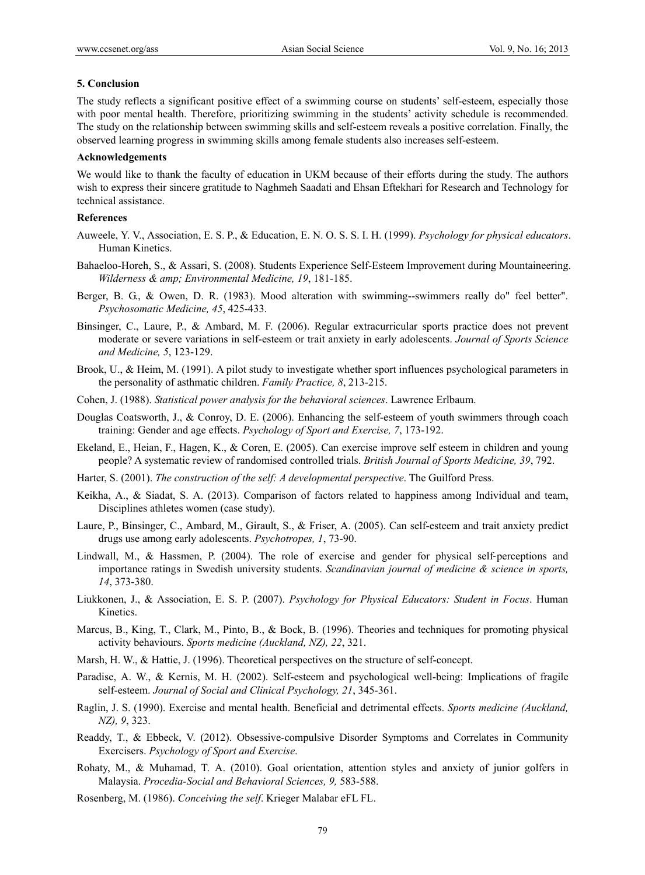#### **5. Conclusion**

The study reflects a significant positive effect of a swimming course on students' self-esteem, especially those with poor mental health. Therefore, prioritizing swimming in the students' activity schedule is recommended. The study on the relationship between swimming skills and self-esteem reveals a positive correlation. Finally, the observed learning progress in swimming skills among female students also increases self-esteem.

#### **Acknowledgements**

We would like to thank the faculty of education in UKM because of their efforts during the study. The authors wish to express their sincere gratitude to Naghmeh Saadati and Ehsan Eftekhari for Research and Technology for technical assistance.

#### **References**

- Auweele, Y. V., Association, E. S. P., & Education, E. N. O. S. S. I. H. (1999). *Psychology for physical educators*. Human Kinetics.
- Bahaeloo-Horeh, S., & Assari, S. (2008). Students Experience Self-Esteem Improvement during Mountaineering. *Wilderness & amp; Environmental Medicine, 19*, 181-185.
- Berger, B. G., & Owen, D. R. (1983). Mood alteration with swimming--swimmers really do" feel better". *Psychosomatic Medicine, 45*, 425-433.
- Binsinger, C., Laure, P., & Ambard, M. F. (2006). Regular extracurricular sports practice does not prevent moderate or severe variations in self-esteem or trait anxiety in early adolescents. *Journal of Sports Science and Medicine, 5*, 123-129.
- Brook, U., & Heim, M. (1991). A pilot study to investigate whether sport influences psychological parameters in the personality of asthmatic children. *Family Practice, 8*, 213-215.
- Cohen, J. (1988). *Statistical power analysis for the behavioral sciences*. Lawrence Erlbaum.
- Douglas Coatsworth, J., & Conroy, D. E. (2006). Enhancing the self-esteem of youth swimmers through coach training: Gender and age effects. *Psychology of Sport and Exercise, 7*, 173-192.
- Ekeland, E., Heian, F., Hagen, K., & Coren, E. (2005). Can exercise improve self esteem in children and young people? A systematic review of randomised controlled trials. *British Journal of Sports Medicine, 39*, 792.
- Harter, S. (2001). *The construction of the self: A developmental perspective*. The Guilford Press.
- Keikha, A., & Siadat, S. A. (2013). Comparison of factors related to happiness among Individual and team, Disciplines athletes women (case study).
- Laure, P., Binsinger, C., Ambard, M., Girault, S., & Friser, A. (2005). Can self-esteem and trait anxiety predict drugs use among early adolescents. *Psychotropes, 1*, 73-90.
- Lindwall, M., & Hassmen, P. (2004). The role of exercise and gender for physical self-perceptions and importance ratings in Swedish university students. *Scandinavian journal of medicine & science in sports, 14*, 373-380.
- Liukkonen, J., & Association, E. S. P. (2007). *Psychology for Physical Educators: Student in Focus*. Human Kinetics.
- Marcus, B., King, T., Clark, M., Pinto, B., & Bock, B. (1996). Theories and techniques for promoting physical activity behaviours. *Sports medicine (Auckland, NZ), 22*, 321.
- Marsh, H. W., & Hattie, J. (1996). Theoretical perspectives on the structure of self-concept.
- Paradise, A. W., & Kernis, M. H. (2002). Self-esteem and psychological well-being: Implications of fragile self-esteem. *Journal of Social and Clinical Psychology, 21*, 345-361.
- Raglin, J. S. (1990). Exercise and mental health. Beneficial and detrimental effects. *Sports medicine (Auckland, NZ), 9*, 323.
- Readdy, T., & Ebbeck, V. (2012). Obsessive-compulsive Disorder Symptoms and Correlates in Community Exercisers. *Psychology of Sport and Exercise*.
- Rohaty, M., & Muhamad, T. A. (2010). Goal orientation, attention styles and anxiety of junior golfers in Malaysia. *Procedia-Social and Behavioral Sciences, 9,* 583-588.
- Rosenberg, M. (1986). *Conceiving the self*. Krieger Malabar eFL FL.